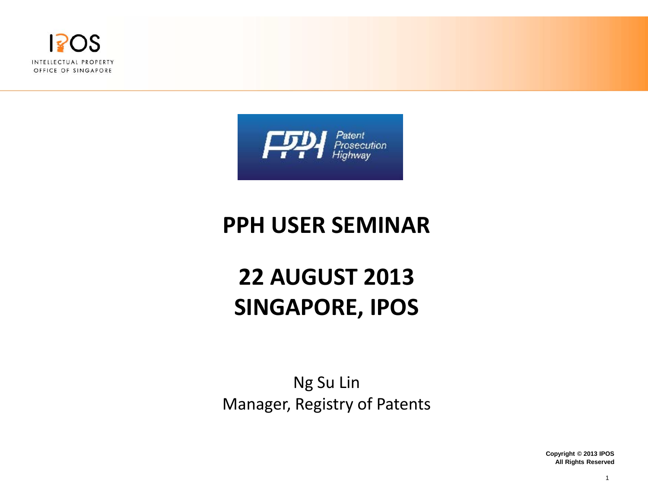



## **PPH USER SEMINAR**

## **22 AUGUST 2013 SINGAPORE, IPOS**

Ng Su Lin Manager, Registry of Patents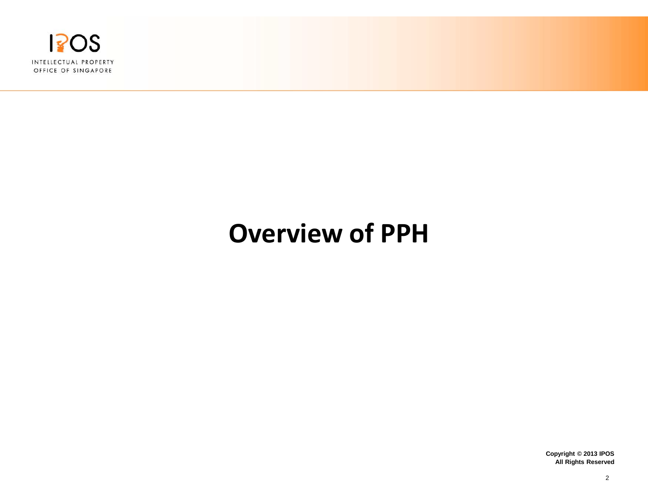

# **Overview of PPH**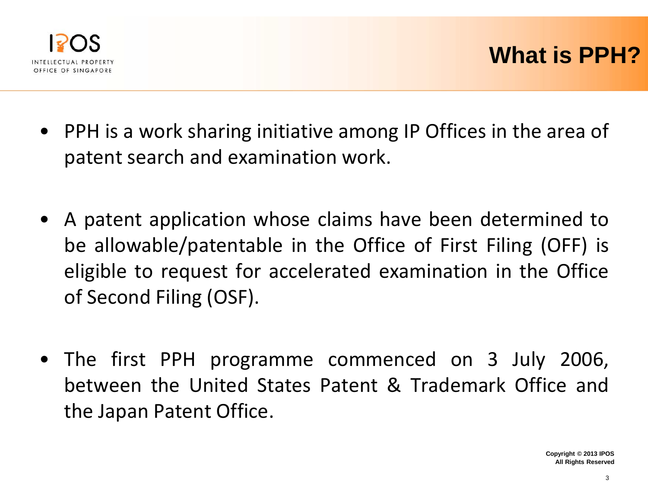

- PPH is a work sharing initiative among IP Offices in the area of patent search and examination work.
- A patent application whose claims have been determined to be allowable/patentable in the Office of First Filing (OFF) is eligible to request for accelerated examination in the Office of Second Filing (OSF).
- The first PPH programme commenced on 3 July 2006, between the United States Patent & Trademark Office and the Japan Patent Office.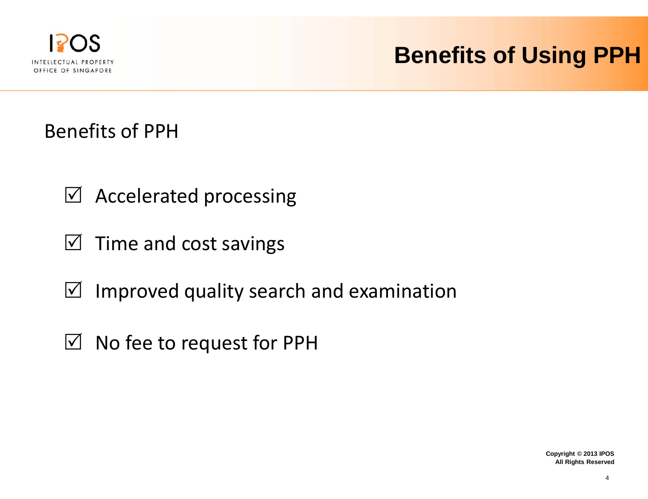

## **Benefits of Using PPH**

Benefits of PPH

- $\boxtimes$  Accelerated processing
- $\boxtimes$  Time and cost savings
- $\boxtimes$  Improved quality search and examination
- $\boxtimes$  No fee to request for PPH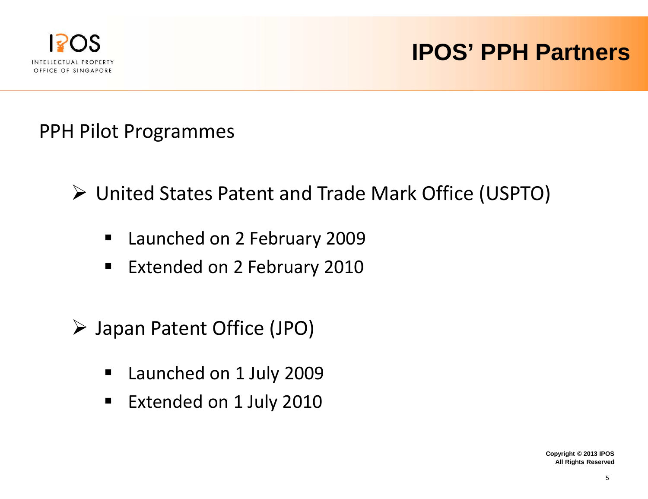

## **IPOS' PPH Partners**

PPH Pilot Programmes

- United States Patent and Trade Mark Office (USPTO)
	- **Launched on 2 February 2009**
	- **Extended on 2 February 2010**
- Japan Patent Office (JPO)
	- **Launched on 1 July 2009**
	- **Extended on 1 July 2010**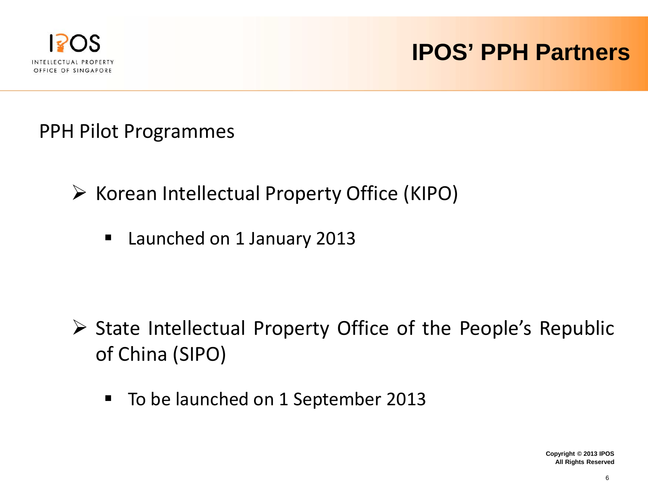

## **IPOS' PPH Partners**

PPH Pilot Programmes

- $\triangleright$  Korean Intellectual Property Office (KIPO)
	- **Launched on 1 January 2013**

- $\triangleright$  State Intellectual Property Office of the People's Republic of China (SIPO)
	- To be launched on 1 September 2013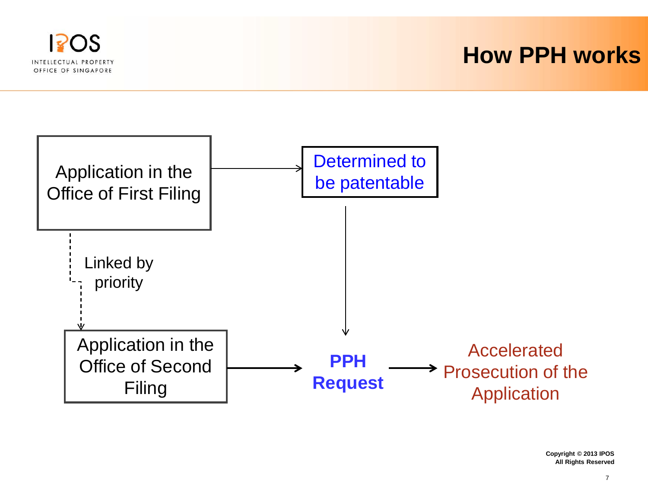

#### **How PPH works**

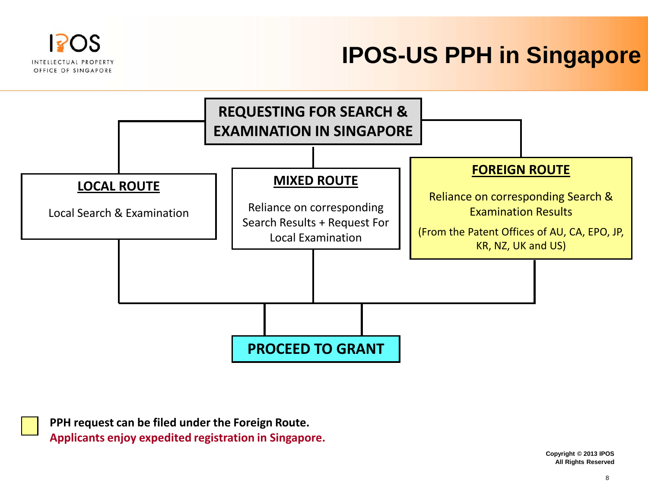

## **IPOS-US PPH in Singapore**



**PPH request can be filed under the Foreign Route. Applicants enjoy expedited registration in Singapore.**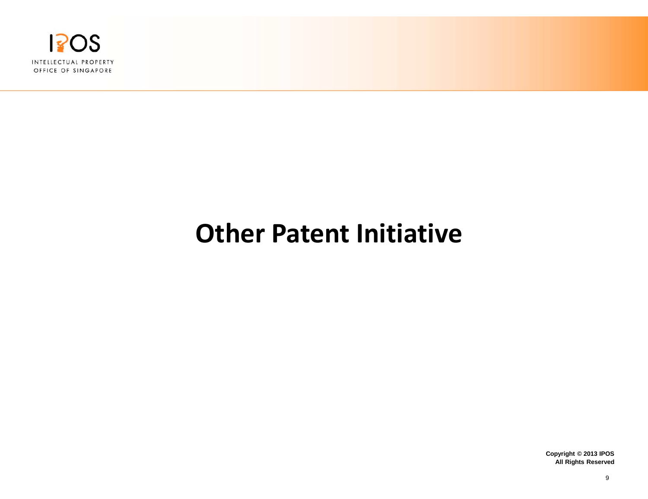

# **Other Patent Initiative**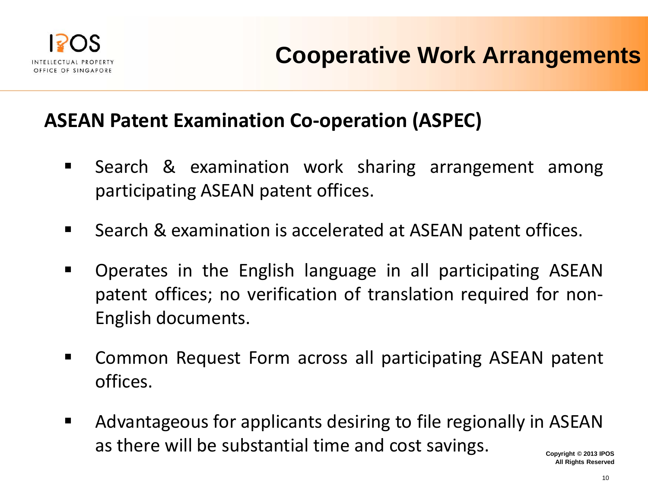

#### **ASEAN Patent Examination Co-operation (ASPEC)**

- **Search & examination work sharing arrangement among** participating ASEAN patent offices.
- Search & examination is accelerated at ASEAN patent offices.
- Operates in the English language in all participating ASEAN patent offices; no verification of translation required for non-English documents.
- Common Request Form across all participating ASEAN patent offices.
- Advantageous for applicants desiring to file regionally in ASEAN as there will be substantial time and cost savings.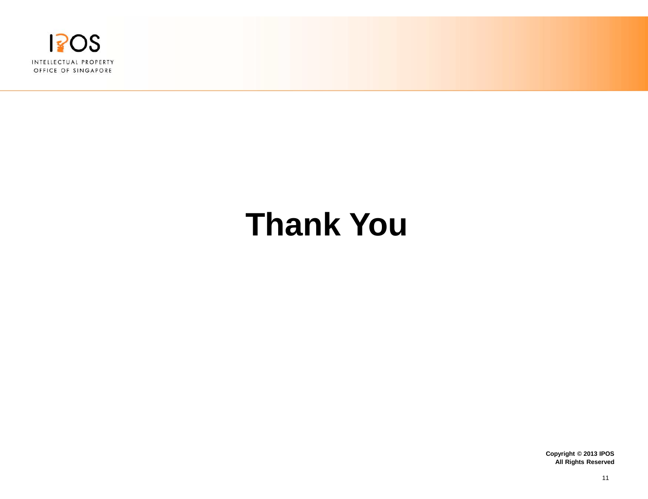

# **Thank You**